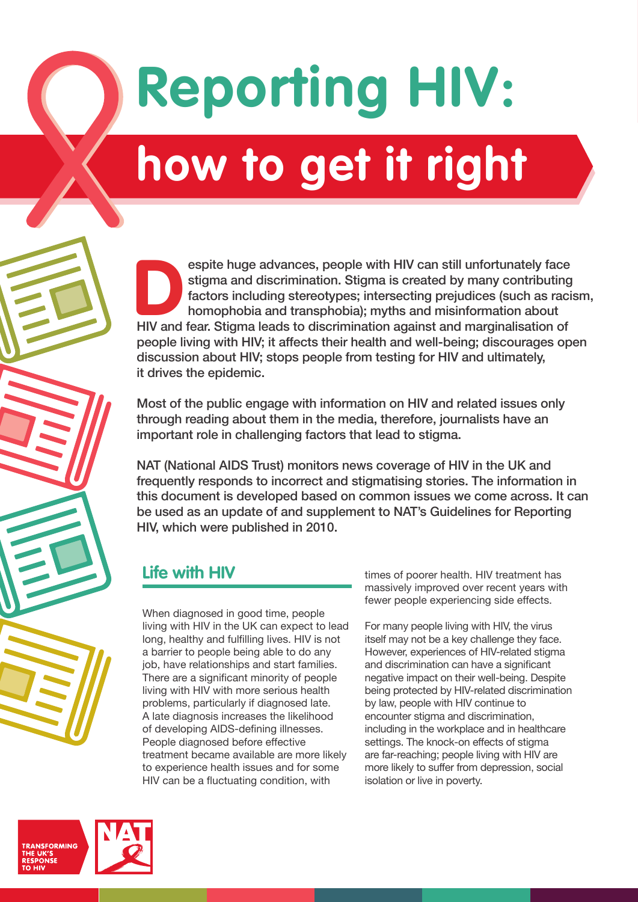# **Reporting HIV: how to get it right**

espite huge advances, people with HIV can still unfortunately face stigma and discrimination. Stigma is created by many contributing factors including stereotypes; intersecting prejudices (such as raci homophobia and trans stigma and discrimination. Stigma is created by many contributing factors including stereotypes; intersecting prejudices (such as racism, homophobia and transphobia); myths and misinformation about HIV and fear. Stigma leads to discrimination against and marginalisation of people living with HIV; it affects their health and well-being; discourages open discussion about HIV; stops people from testing for HIV and ultimately, it drives the epidemic.

Most of the public engage with information on HIV and related issues only through reading about them in the media, therefore, journalists have an important role in challenging factors that lead to stigma.

NAT (National AIDS Trust) monitors news coverage of HIV in the UK and frequently responds to incorrect and stigmatising stories. The information in this document is developed based on common issues we come across. It can be used as an update of and supplement to NAT's Guidelines for Reporting HIV, which were published in 2010.

## **Life with HIV**

When diagnosed in good time, people living with HIV in the UK can expect to lead long, healthy and fulfilling lives. HIV is not a barrier to people being able to do any job, have relationships and start families. There are a significant minority of people living with HIV with more serious health problems, particularly if diagnosed late. A late diagnosis increases the likelihood of developing AIDS-defining illnesses. People diagnosed before effective treatment became available are more likely to experience health issues and for some HIV can be a fluctuating condition, with

times of poorer health. HIV treatment has massively improved over recent years with fewer people experiencing side effects.

For many people living with HIV, the virus itself may not be a key challenge they face. However, experiences of HIV-related stigma and discrimination can have a significant negative impact on their well-being. Despite being protected by HIV-related discrimination by law, people with HIV continue to encounter stigma and discrimination, including in the workplace and in healthcare settings. The knock-on effects of stigma are far-reaching; people living with HIV are more likely to suffer from depression, social isolation or live in poverty.

**TRANSFORMING** 

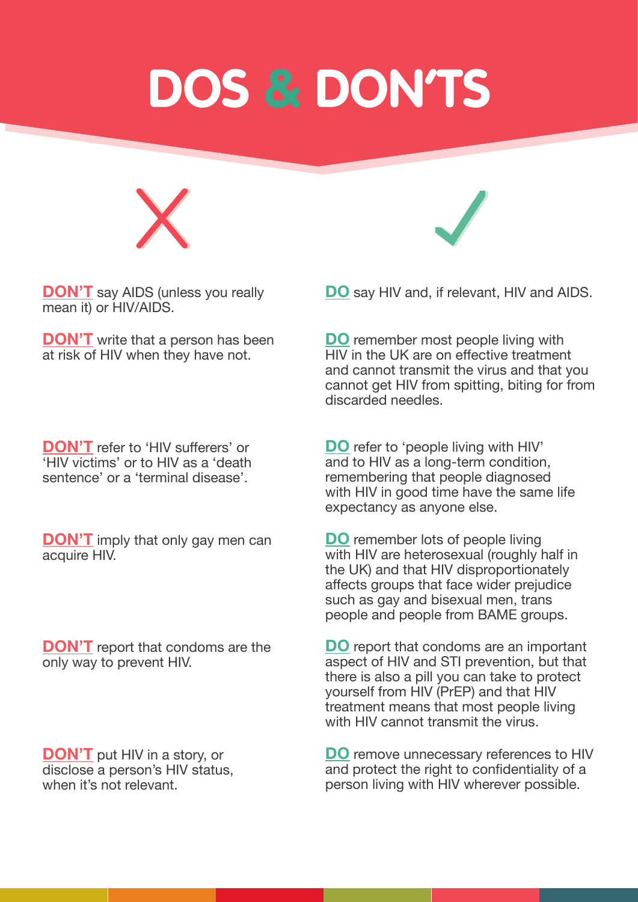## **DOS & DON'TS**



**DON'T** say AIDS (unless you really mean it) or HIV/AIDS.

**DON'T** write that a person has been at risk of HIV when they have not.

**DON'T** refer to 'HIV sufferers' or 'HIV victims' or to HIV as a 'death sentence' or a 'terminal disease'.

**DON'T** imply that only gay men can acquire HIV.

**DON'T** report that condoms are the only way to prevent HIV.

**DON'T** put HIV in a story, or disclose a person's HIV status, when it's not relevant.

**DO** say HIV and, if relevant, HIV and AIDS.

**DO** remember most people living with HIV in the UK are on effective treatment and cannot transmit the virus and that you cannot get HIV from spitting, biting for from discarded needles.

**DO** refer to 'people living with HIV' and to HIV as a long-term condition, remembering that people diagnosed with HIV in good time have the same life expectancy as anyone else.

**DO** remember lots of people living with HIV are heterosexual (roughly half in the UK) and that HIV disproportionately affects groups that face wider prejudice such as gay and bisexual men, trans people and people from BAME groups.

**DO** report that condoms are an important aspect of HIV and STI prevention, but that there is also a pill you can take to protect yourself from HIV (PrEP) and that HIV treatment means that most people living with HIV cannot transmit the virus.

**DO** remove unnecessary references to HIV and protect the right to confidentiality of a person living with HIV wherever possible.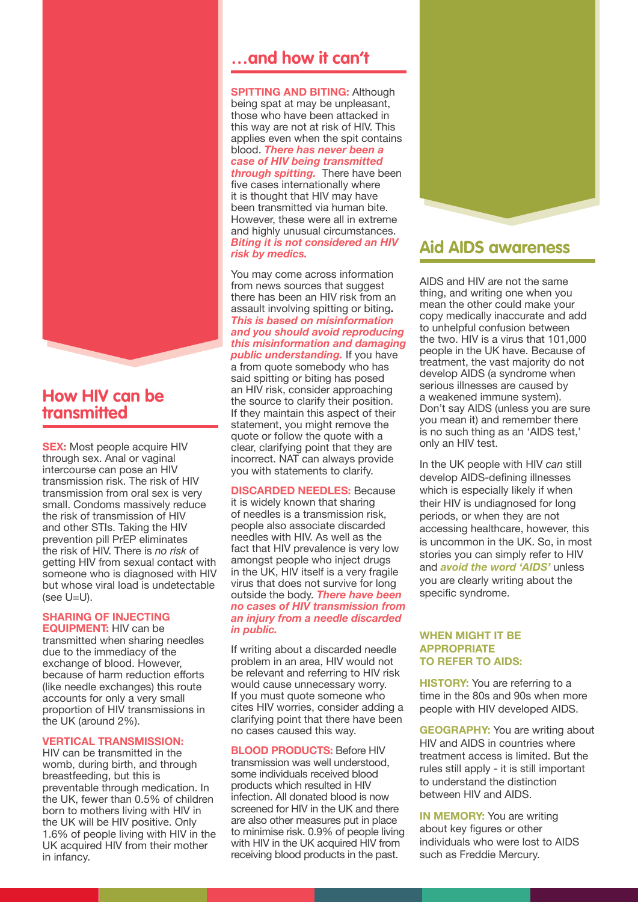

#### **How HIV can be transmitted**

**SEX:** Most people acquire HIV through sex. Anal or vaginal intercourse can pose an HIV transmission risk. The risk of HIV transmission from oral sex is very small. Condoms massively reduce the risk of transmission of HIV and other STIs. Taking the HIV prevention pill PrEP eliminates the risk of HIV. There is *no risk* of getting HIV from sexual contact with someone who is diagnosed with HIV but whose viral load is undetectable (see U=U).

#### **SHARING OF INJECTING EQUIPMENT:** HIV can be

transmitted when sharing needles due to the immediacy of the exchange of blood. However, because of harm reduction efforts (like needle exchanges) this route accounts for only a very small proportion of HIV transmissions in the UK (around 2%).

#### **VERTICAL TRANSMISSION:**

HIV can be transmitted in the womb, during birth, and through breastfeeding, but this is preventable through medication. In the UK, fewer than 0.5% of children born to mothers living with HIV in the UK will be HIV positive. Only 1.6% of people living with HIV in the UK acquired HIV from their mother in infancy.

### **…and how it can't**

**SPITTING AND BITING:** Although being spat at may be unpleasant, those who have been attacked in this way are not at risk of HIV. This applies even when the spit contains blood. *There has never been a case of HIV being transmitted through spitting.* There have been five cases internationally where it is thought that HIV may have been transmitted via human bite. However, these were all in extreme and highly unusual circumstances. *Biting it is not considered an HIV risk by medics.*

You may come across information from news sources that suggest there has been an HIV risk from an assault involving spitting or biting**.**  *This is based on misinformation and you should avoid reproducing this misinformation and damaging public understanding.* If you have a from quote somebody who has said spitting or biting has posed an HIV risk, consider approaching the source to clarify their position. If they maintain this aspect of their statement, you might remove the quote or follow the quote with a clear, clarifying point that they are incorrect. NAT can always provide you with statements to clarify.

**DISCARDED NEEDLES:** Because it is widely known that sharing of needles is a transmission risk, people also associate discarded needles with HIV. As well as the fact that HIV prevalence is very low amongst people who inject drugs in the UK, HIV itself is a very fragile virus that does not survive for long outside the body. *There have been no cases of HIV transmission from an injury from a needle discarded in public.*

If writing about a discarded needle problem in an area, HIV would not be relevant and referring to HIV risk would cause unnecessary worry. If you must quote someone who cites HIV worries, consider adding a clarifying point that there have been no cases caused this way.

**BLOOD PRODUCTS:** Before HIV transmission was well understood, some individuals received blood products which resulted in HIV infection. All donated blood is now screened for HIV in the UK and there are also other measures put in place to minimise risk. 0.9% of people living with HIV in the UK acquired HIV from receiving blood products in the past.



#### **Aid AIDS awareness**

AIDS and HIV are not the same thing, and writing one when you mean the other could make your copy medically inaccurate and add to unhelpful confusion between the two. HIV is a virus that 101,000 people in the UK have. Because of treatment, the vast majority do not develop AIDS (a syndrome when serious illnesses are caused by a weakened immune system). Don't say AIDS (unless you are sure you mean it) and remember there is no such thing as an 'AIDS test,' only an HIV test.

In the UK people with HIV *can* still develop AIDS-defining illnesses which is especially likely if when their HIV is undiagnosed for long periods, or when they are not accessing healthcare, however, this is uncommon in the UK. So, in most stories you can simply refer to HIV and *avoid the word 'AIDS'* unless you are clearly writing about the specific syndrome.

#### **WHEN MIGHT IT BE APPROPRIATE TO REFER TO AIDS:**

**HISTORY:** You are referring to a time in the 80s and 90s when more people with HIV developed AIDS.

**GEOGRAPHY:** You are writing about HIV and AIDS in countries where treatment access is limited. But the rules still apply - it is still important to understand the distinction between HIV and AIDS.

**IN MEMORY:** You are writing about key figures or other individuals who were lost to AIDS such as Freddie Mercury.